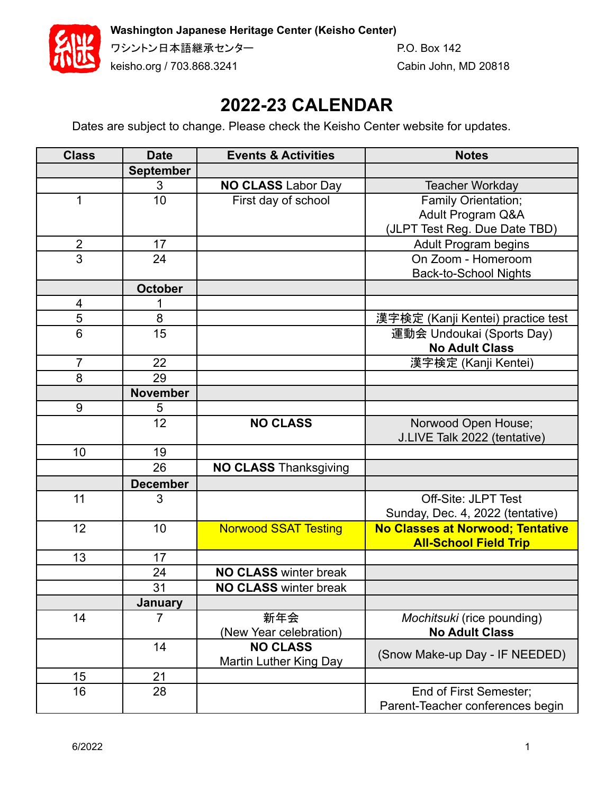**Washington Japanese Heritage Center (Keisho Center)**



keisho.org / 703.868.3241 Cabin John, MD 20818

ワシントン日本語継承センター マンクリング P.O. Box 142

## **2022-23 CALENDAR**

Dates are subject to change. Please check the Keisho Center website for updates.

| <b>Class</b>            | <b>Date</b>      | <b>Events &amp; Activities</b> | <b>Notes</b>                            |
|-------------------------|------------------|--------------------------------|-----------------------------------------|
|                         | <b>September</b> |                                |                                         |
|                         | 3                | <b>NO CLASS Labor Day</b>      | <b>Teacher Workday</b>                  |
| 1                       | 10               | First day of school            | <b>Family Orientation;</b>              |
|                         |                  |                                | Adult Program Q&A                       |
|                         |                  |                                | (JLPT Test Reg. Due Date TBD)           |
| $\overline{2}$          | 17               |                                | <b>Adult Program begins</b>             |
| 3                       | 24               |                                | On Zoom - Homeroom                      |
|                         |                  |                                | <b>Back-to-School Nights</b>            |
|                         | <b>October</b>   |                                |                                         |
| $\overline{\mathbf{4}}$ |                  |                                |                                         |
| 5                       | 8                |                                | 漢字検定 (Kanji Kentei) practice test       |
| $6\phantom{1}$          | 15               |                                | 運動会 Undoukai (Sports Day)               |
|                         |                  |                                | <b>No Adult Class</b>                   |
| $\overline{7}$          | 22               |                                | 漢字検定 (Kanji Kentei)                     |
| 8                       | 29               |                                |                                         |
|                         | <b>November</b>  |                                |                                         |
| 9                       | 5                |                                |                                         |
|                         | 12               | <b>NO CLASS</b>                | Norwood Open House;                     |
|                         |                  |                                | J.LIVE Talk 2022 (tentative)            |
| 10                      | 19               |                                |                                         |
|                         | 26               | <b>NO CLASS Thanksgiving</b>   |                                         |
|                         | <b>December</b>  |                                |                                         |
| 11                      | 3                |                                | <b>Off-Site: JLPT Test</b>              |
|                         |                  |                                | Sunday, Dec. 4, 2022 (tentative)        |
| 12                      | 10               | <b>Norwood SSAT Testing</b>    | <b>No Classes at Norwood; Tentative</b> |
|                         |                  |                                | <b>All-School Field Trip</b>            |
| 13                      | 17               |                                |                                         |
|                         | 24               | <b>NO CLASS winter break</b>   |                                         |
|                         | 31               | <b>NO CLASS winter break</b>   |                                         |
|                         | <b>January</b>   |                                |                                         |
| 14                      | 7                | 新年会                            | Mochitsuki (rice pounding)              |
|                         |                  | (New Year celebration)         | <b>No Adult Class</b>                   |
|                         | 14               | <b>NO CLASS</b>                | (Snow Make-up Day - IF NEEDED)          |
|                         |                  | Martin Luther King Day         |                                         |
| 15                      | 21               |                                |                                         |
| 16                      | 28               |                                | End of First Semester;                  |
|                         |                  |                                | Parent-Teacher conferences begin        |